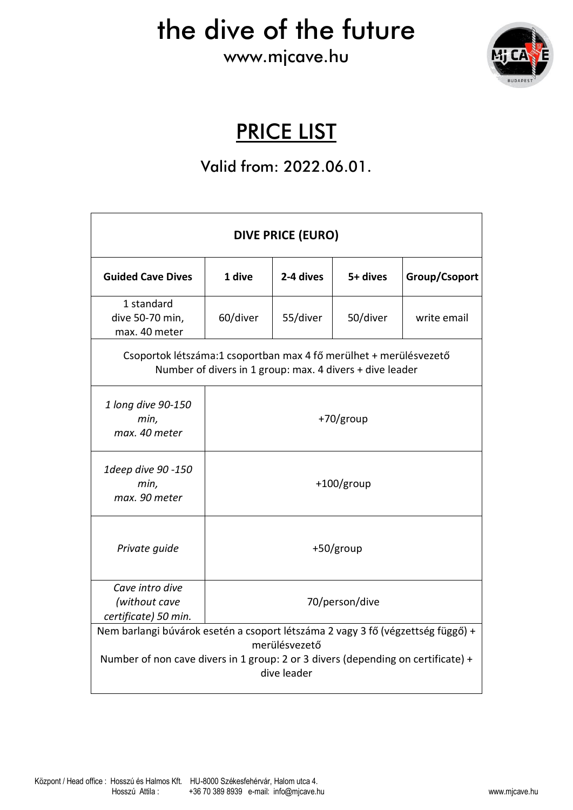the dive of the future

www.mjcave.hu



### PRICE LIST

#### Valid from: 2022.06.01.

| <b>DIVE PRICE (EURO)</b>                                                                                                                                                                            |                |           |          |               |  |
|-----------------------------------------------------------------------------------------------------------------------------------------------------------------------------------------------------|----------------|-----------|----------|---------------|--|
| <b>Guided Cave Dives</b>                                                                                                                                                                            | 1 dive         | 2-4 dives | 5+ dives | Group/Csoport |  |
| 1 standard<br>dive 50-70 min,<br>max. 40 meter                                                                                                                                                      | 60/diver       | 55/diver  | 50/diver | write email   |  |
| Csoportok létszáma:1 csoportban max 4 fő merülhet + merülésvezető<br>Number of divers in 1 group: max. 4 divers + dive leader                                                                       |                |           |          |               |  |
| 1 long dive 90-150<br>min,<br>max. 40 meter                                                                                                                                                         | $+70$ /group   |           |          |               |  |
| 1deep dive 90 -150<br>min,<br>max. 90 meter                                                                                                                                                         | $+100/grow$    |           |          |               |  |
| Private guide                                                                                                                                                                                       | +50/group      |           |          |               |  |
| Cave intro dive<br>(without cave<br>certificate) 50 min.                                                                                                                                            | 70/person/dive |           |          |               |  |
| Nem barlangi búvárok esetén a csoport létszáma 2 vagy 3 fő (végzettség függő) +<br>merülésvezető<br>Number of non cave divers in 1 group: 2 or 3 divers (depending on certificate) +<br>dive leader |                |           |          |               |  |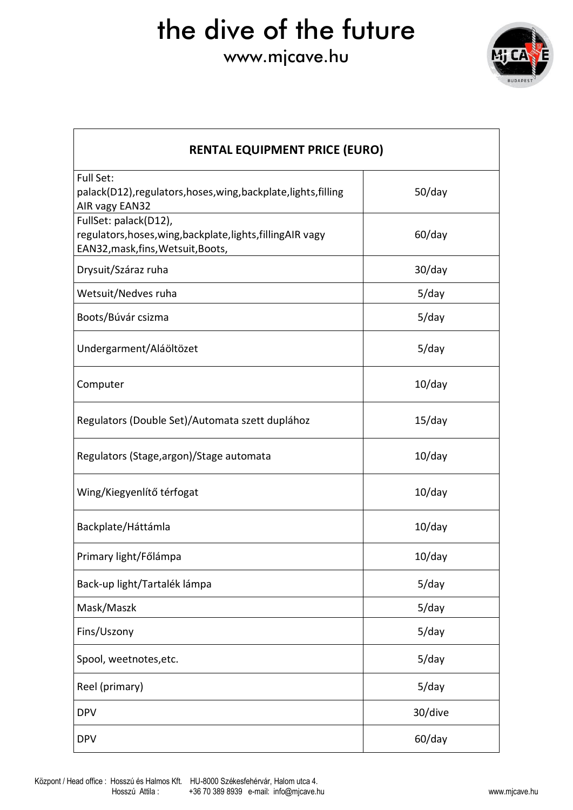## the dive of the future

### www.mjcave.hu



| <b>RENTAL EQUIPMENT PRICE (EURO)</b>                                                                                        |           |  |  |  |
|-----------------------------------------------------------------------------------------------------------------------------|-----------|--|--|--|
| Full Set:<br>palack(D12), regulators, hoses, wing, backplate, lights, filling<br>AIR vagy EAN32                             | $50$ /day |  |  |  |
| FullSet: palack(D12),<br>regulators, hoses, wing, backplate, lights, filling AIR vagy<br>EAN32, mask, fins, Wetsuit, Boots, | $60$ /day |  |  |  |
| Drysuit/Száraz ruha                                                                                                         | 30/day    |  |  |  |
| Wetsuit/Nedves ruha                                                                                                         | $5$ /day  |  |  |  |
| Boots/Búvár csizma                                                                                                          | $5$ /day  |  |  |  |
| Undergarment/Aláöltözet                                                                                                     | $5$ /day  |  |  |  |
| Computer                                                                                                                    | $10$ /day |  |  |  |
| Regulators (Double Set)/Automata szett duplához                                                                             | $15$ /day |  |  |  |
| Regulators (Stage, argon)/Stage automata                                                                                    | $10$ /day |  |  |  |
| Wing/Kiegyenlítő térfogat                                                                                                   | 10/day    |  |  |  |
| Backplate/Háttámla                                                                                                          | $10$ /day |  |  |  |
| Primary light/Főlámpa                                                                                                       | $10$ /day |  |  |  |
| Back-up light/Tartalék lámpa                                                                                                | $5$ /day  |  |  |  |
| Mask/Maszk                                                                                                                  | $5$ /day  |  |  |  |
| Fins/Uszony                                                                                                                 | $5$ /day  |  |  |  |
| Spool, weetnotes, etc.                                                                                                      | $5$ /day  |  |  |  |
| Reel (primary)                                                                                                              | $5$ /day  |  |  |  |
| <b>DPV</b>                                                                                                                  | 30/dive   |  |  |  |
| <b>DPV</b>                                                                                                                  | $60$ /day |  |  |  |